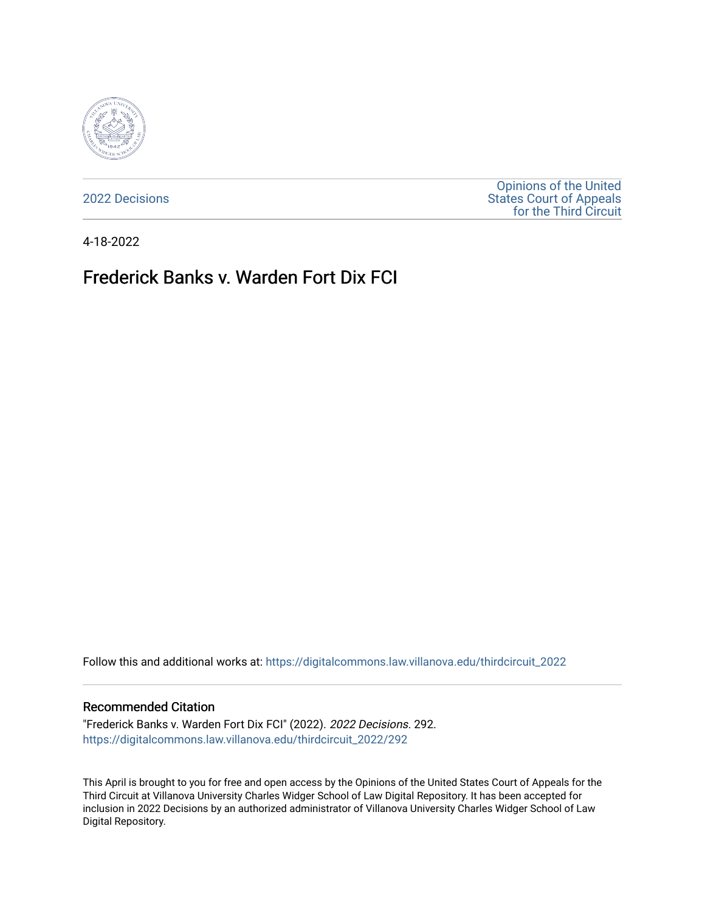

[2022 Decisions](https://digitalcommons.law.villanova.edu/thirdcircuit_2022)

[Opinions of the United](https://digitalcommons.law.villanova.edu/thirdcircuit)  [States Court of Appeals](https://digitalcommons.law.villanova.edu/thirdcircuit)  [for the Third Circuit](https://digitalcommons.law.villanova.edu/thirdcircuit) 

4-18-2022

# Frederick Banks v. Warden Fort Dix FCI

Follow this and additional works at: [https://digitalcommons.law.villanova.edu/thirdcircuit\\_2022](https://digitalcommons.law.villanova.edu/thirdcircuit_2022?utm_source=digitalcommons.law.villanova.edu%2Fthirdcircuit_2022%2F292&utm_medium=PDF&utm_campaign=PDFCoverPages) 

#### Recommended Citation

"Frederick Banks v. Warden Fort Dix FCI" (2022). 2022 Decisions. 292. [https://digitalcommons.law.villanova.edu/thirdcircuit\\_2022/292](https://digitalcommons.law.villanova.edu/thirdcircuit_2022/292?utm_source=digitalcommons.law.villanova.edu%2Fthirdcircuit_2022%2F292&utm_medium=PDF&utm_campaign=PDFCoverPages)

This April is brought to you for free and open access by the Opinions of the United States Court of Appeals for the Third Circuit at Villanova University Charles Widger School of Law Digital Repository. It has been accepted for inclusion in 2022 Decisions by an authorized administrator of Villanova University Charles Widger School of Law Digital Repository.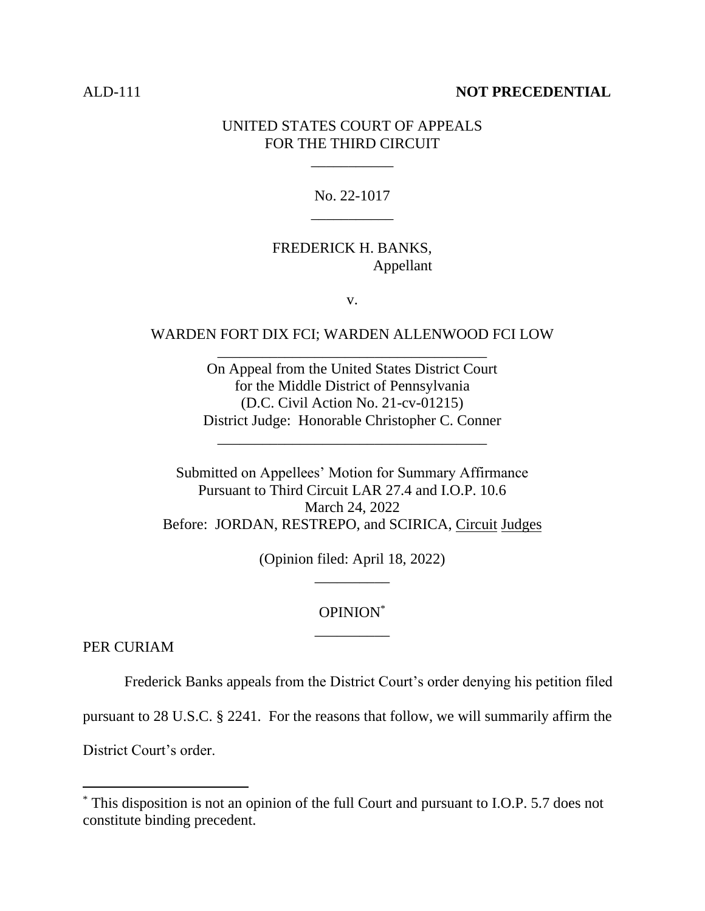#### ALD-111 **NOT PRECEDENTIAL**

#### UNITED STATES COURT OF APPEALS FOR THE THIRD CIRCUIT

\_\_\_\_\_\_\_\_\_\_\_

# No. 22-1017 \_\_\_\_\_\_\_\_\_\_\_

### FREDERICK H. BANKS, Appellant

v.

### WARDEN FORT DIX FCI; WARDEN ALLENWOOD FCI LOW \_\_\_\_\_\_\_\_\_\_\_\_\_\_\_\_\_\_\_\_\_\_\_\_\_\_\_\_\_\_\_\_\_\_\_\_

On Appeal from the United States District Court for the Middle District of Pennsylvania (D.C. Civil Action No. 21-cv-01215) District Judge: Honorable Christopher C. Conner

\_\_\_\_\_\_\_\_\_\_\_\_\_\_\_\_\_\_\_\_\_\_\_\_\_\_\_\_\_\_\_\_\_\_\_\_

Submitted on Appellees' Motion for Summary Affirmance Pursuant to Third Circuit LAR 27.4 and I.O.P. 10.6 March 24, 2022 Before: JORDAN, RESTREPO, and SCIRICA, Circuit Judges

> (Opinion filed: April 18, 2022) \_\_\_\_\_\_\_\_\_\_

# OPINION\* \_\_\_\_\_\_\_\_\_\_

PER CURIAM

Frederick Banks appeals from the District Court's order denying his petition filed

pursuant to 28 U.S.C. § 2241. For the reasons that follow, we will summarily affirm the

District Court's order.

<sup>\*</sup> This disposition is not an opinion of the full Court and pursuant to I.O.P. 5.7 does not constitute binding precedent.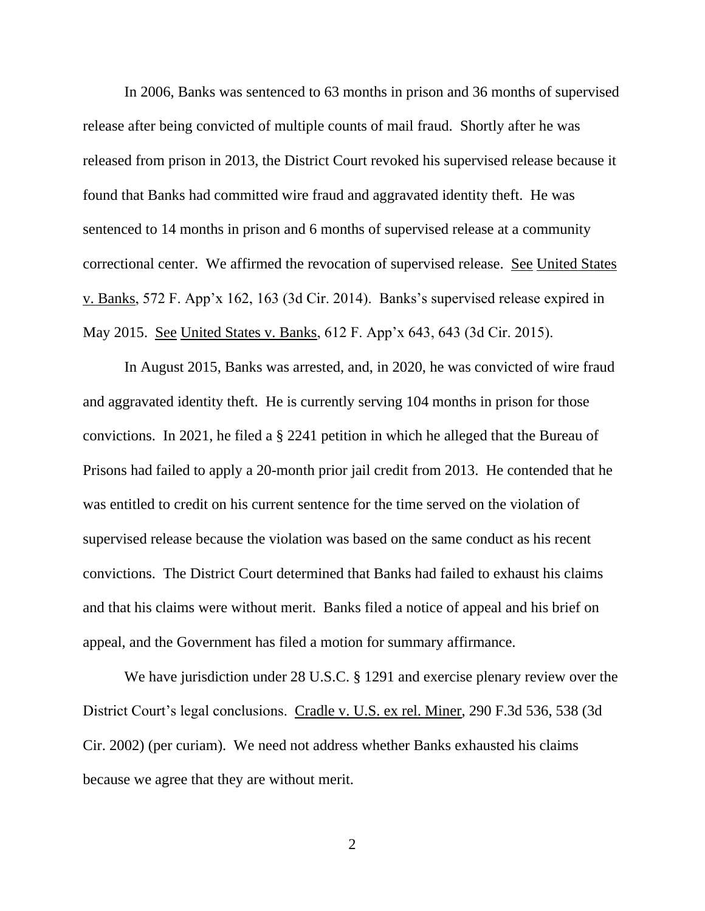In 2006, Banks was sentenced to 63 months in prison and 36 months of supervised release after being convicted of multiple counts of mail fraud. Shortly after he was released from prison in 2013, the District Court revoked his supervised release because it found that Banks had committed wire fraud and aggravated identity theft. He was sentenced to 14 months in prison and 6 months of supervised release at a community correctional center. We affirmed the revocation of supervised release. See United States v. Banks, 572 F. App'x 162, 163 (3d Cir. 2014). Banks's supervised release expired in May 2015. See United States v. Banks, 612 F. App'x 643, 643 (3d Cir. 2015).

In August 2015, Banks was arrested, and, in 2020, he was convicted of wire fraud and aggravated identity theft. He is currently serving 104 months in prison for those convictions. In 2021, he filed a § 2241 petition in which he alleged that the Bureau of Prisons had failed to apply a 20-month prior jail credit from 2013. He contended that he was entitled to credit on his current sentence for the time served on the violation of supervised release because the violation was based on the same conduct as his recent convictions. The District Court determined that Banks had failed to exhaust his claims and that his claims were without merit. Banks filed a notice of appeal and his brief on appeal, and the Government has filed a motion for summary affirmance.

We have jurisdiction under 28 U.S.C. § 1291 and exercise plenary review over the District Court's legal conclusions. Cradle v. U.S. ex rel. Miner, 290 F.3d 536, 538 (3d Cir. 2002) (per curiam). We need not address whether Banks exhausted his claims because we agree that they are without merit.

 $\mathcal{L}$